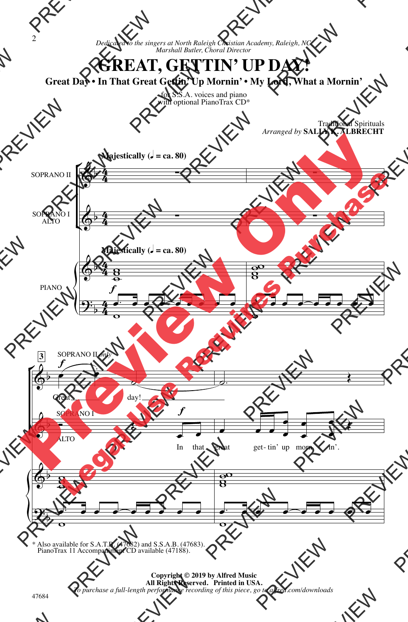## **GREAT, GETTIN' UP DAY!**

**Great Day • In That Great Gettin' Up Mornin' • My Lord, What a Mornin'**

for S.S.A. voices and piano with optional PianoTrax CD\*



\* Also available for S.A.T.B. (47682) and S.S.A.B. (47683). PianoTrax 11 Accompaniment CD available (47188).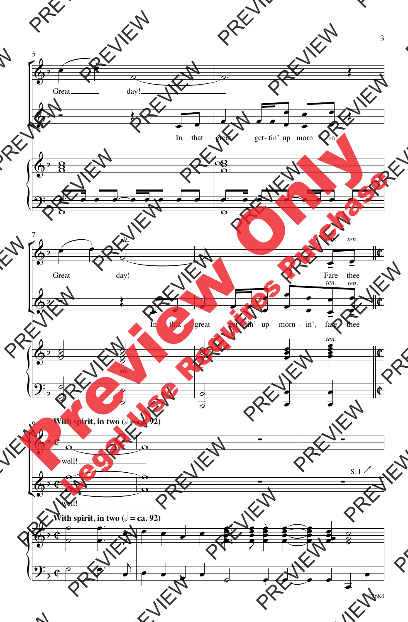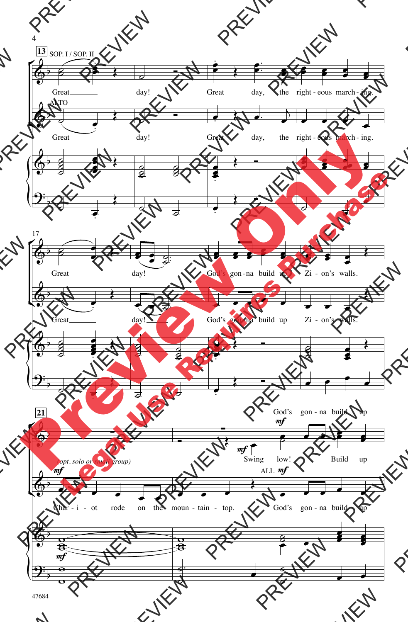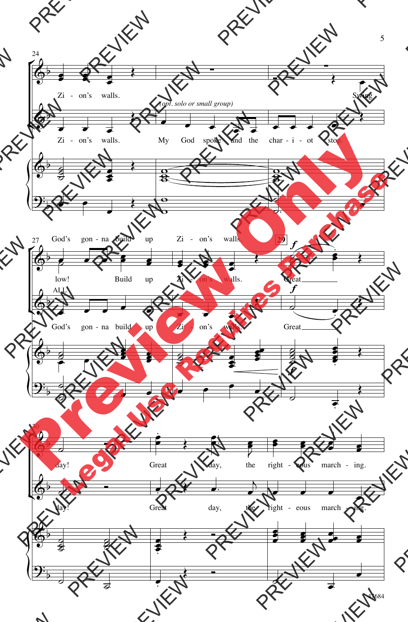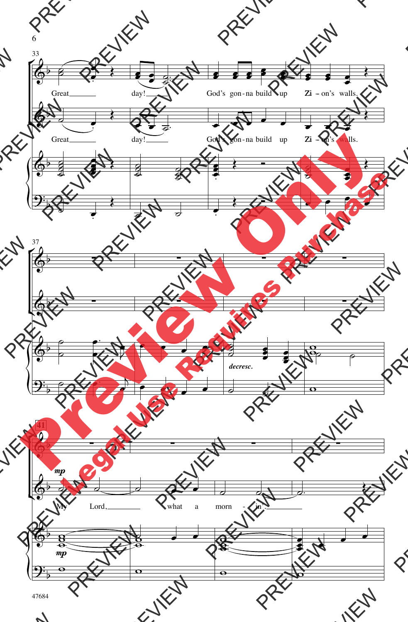![](_page_4_Figure_0.jpeg)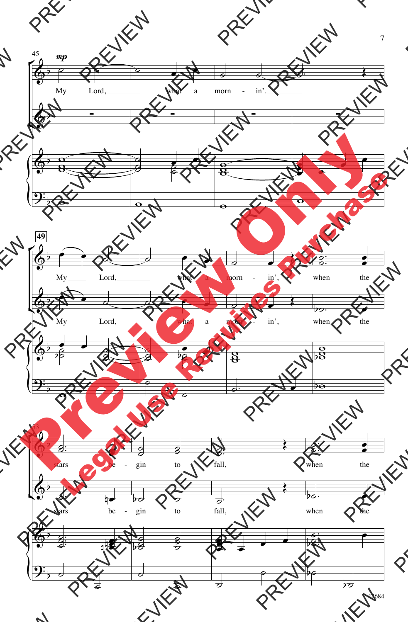![](_page_5_Figure_0.jpeg)

47684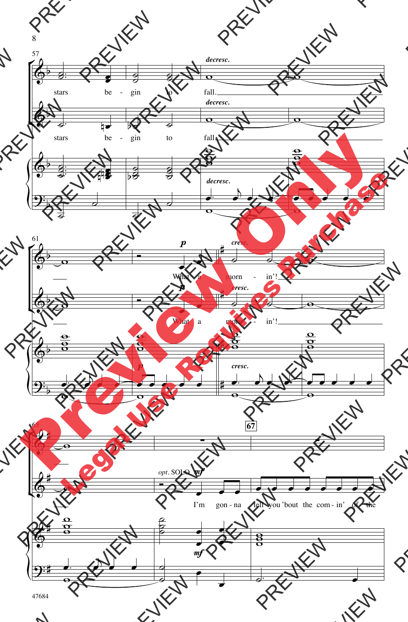![](_page_6_Figure_0.jpeg)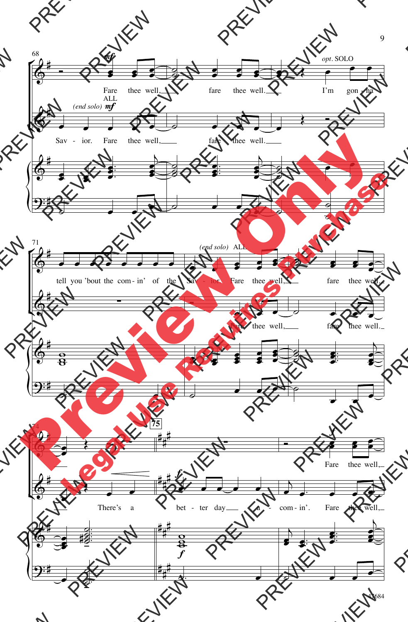![](_page_7_Figure_0.jpeg)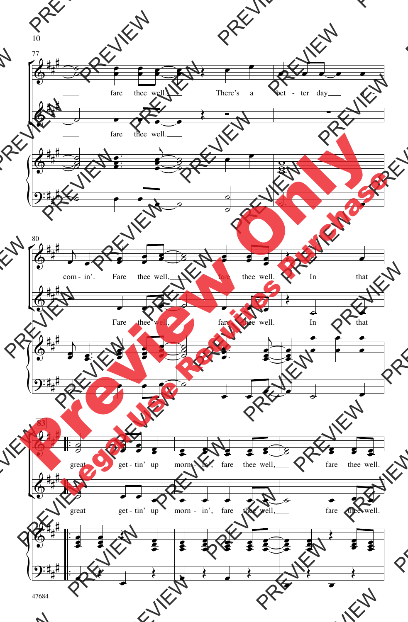![](_page_8_Figure_0.jpeg)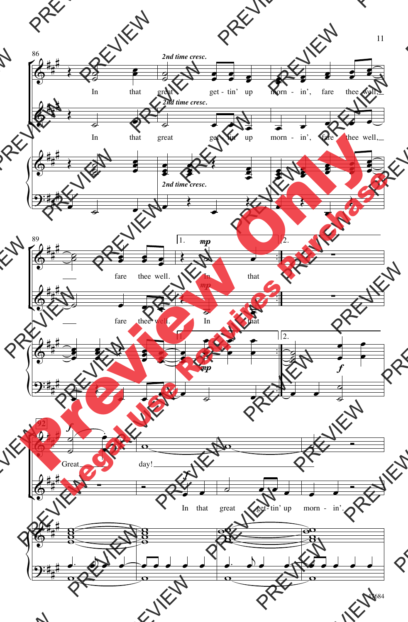![](_page_9_Figure_0.jpeg)

47684